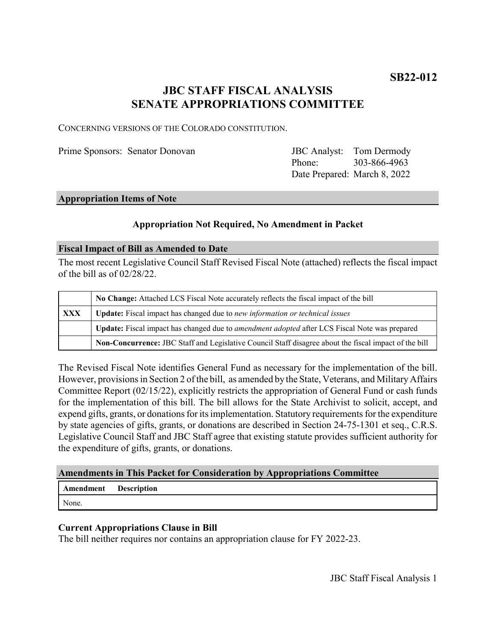# **JBC STAFF FISCAL ANALYSIS SENATE APPROPRIATIONS COMMITTEE**

CONCERNING VERSIONS OF THE COLORADO CONSTITUTION.

Prime Sponsors: Senator Donovan

Phone: Date Prepared: March 8, 2022 JBC Analyst: Tom Dermody 303-866-4963

#### **Appropriation Items of Note**

# **Appropriation Not Required, No Amendment in Packet**

#### **Fiscal Impact of Bill as Amended to Date**

The most recent Legislative Council Staff Revised Fiscal Note (attached) reflects the fiscal impact of the bill as of 02/28/22.

|     | No Change: Attached LCS Fiscal Note accurately reflects the fiscal impact of the bill                 |
|-----|-------------------------------------------------------------------------------------------------------|
| XXX | Update: Fiscal impact has changed due to new information or technical issues                          |
|     | Update: Fiscal impact has changed due to amendment adopted after LCS Fiscal Note was prepared         |
|     | Non-Concurrence: JBC Staff and Legislative Council Staff disagree about the fiscal impact of the bill |

The Revised Fiscal Note identifies General Fund as necessary for the implementation of the bill. However, provisions in Section 2 of the bill, as amended by the State, Veterans, and Military Affairs Committee Report (02/15/22), explicitly restricts the appropriation of General Fund or cash funds for the implementation of this bill. The bill allows for the State Archivist to solicit, accept, and expend gifts, grants, or donations for its implementation. Statutory requirements for the expenditure by state agencies of gifts, grants, or donations are described in Section 24-75-1301 et seq., C.R.S. Legislative Council Staff and JBC Staff agree that existing statute provides sufficient authority for the expenditure of gifts, grants, or donations.

# **Amendments in This Packet for Consideration by Appropriations Committee**

# **Amendment Description**

None.

# **Current Appropriations Clause in Bill**

The bill neither requires nor contains an appropriation clause for FY 2022-23.